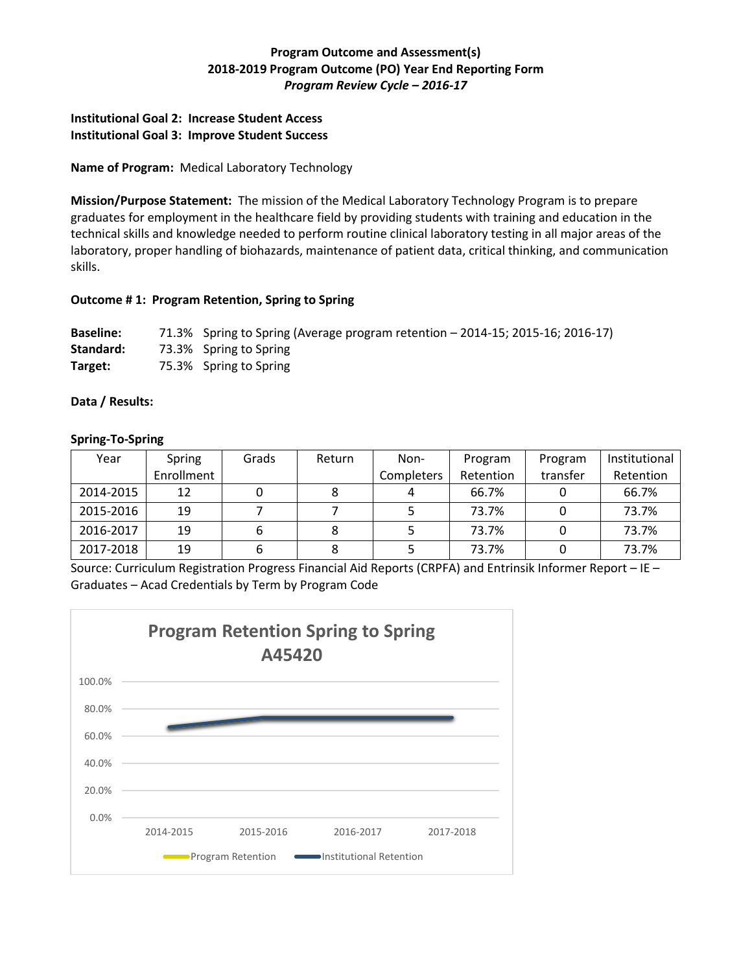# **Program Outcome and Assessment(s) 2018-2019 Program Outcome (PO) Year End Reporting Form** *Program Review Cycle – 2016-17*

## **Institutional Goal 2: Increase Student Access Institutional Goal 3: Improve Student Success**

## **Name of Program:** Medical Laboratory Technology

**Mission/Purpose Statement:** The mission of the Medical Laboratory Technology Program is to prepare graduates for employment in the healthcare field by providing students with training and education in the technical skills and knowledge needed to perform routine clinical laboratory testing in all major areas of the laboratory, proper handling of biohazards, maintenance of patient data, critical thinking, and communication skills.

#### **Outcome # 1: Program Retention, Spring to Spring**

**Baseline:** 71.3% Spring to Spring (Average program retention – 2014-15; 2015-16; 2016-17) **Standard:** 73.3% Spring to Spring **Target:** 75.3% Spring to Spring

## **Data / Results:**

## **Spring-To-Spring**

| Year      | Spring     | Grads | Return | Non-       | Program   | Program  | Institutional |
|-----------|------------|-------|--------|------------|-----------|----------|---------------|
|           | Enrollment |       |        | Completers | Retention | transfer | Retention     |
| 2014-2015 | 12         |       |        |            | 66.7%     |          | 66.7%         |
| 2015-2016 | 19         |       |        |            | 73.7%     |          | 73.7%         |
| 2016-2017 | 19         |       |        |            | 73.7%     |          | 73.7%         |
| 2017-2018 | 19         |       |        |            | 73.7%     |          | 73.7%         |

Source: Curriculum Registration Progress Financial Aid Reports (CRPFA) and Entrinsik Informer Report – IE – Graduates – Acad Credentials by Term by Program Code

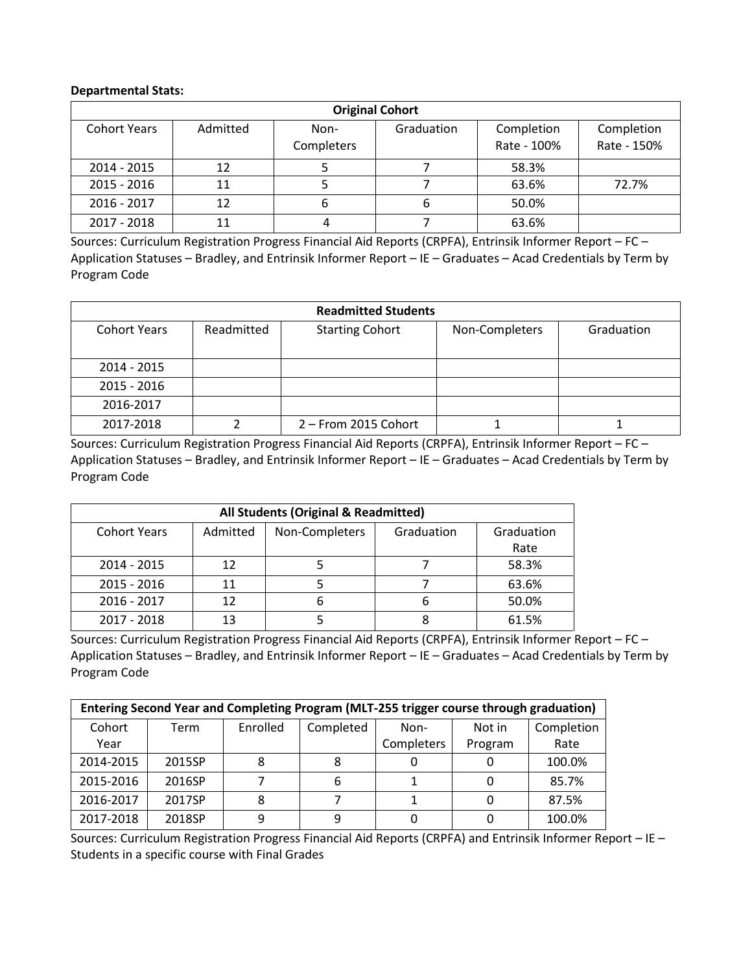#### **Departmental Stats:**

| <b>Original Cohort</b> |          |                    |            |                           |                           |  |
|------------------------|----------|--------------------|------------|---------------------------|---------------------------|--|
| <b>Cohort Years</b>    | Admitted | Non-<br>Completers | Graduation | Completion<br>Rate - 100% | Completion<br>Rate - 150% |  |
| 2014 - 2015            | 12       |                    |            | 58.3%                     |                           |  |
| $2015 - 2016$          | 11       |                    |            | 63.6%                     | 72.7%                     |  |
| 2016 - 2017            | 12       |                    | b          | 50.0%                     |                           |  |
| 2017 - 2018            |          |                    |            | 63.6%                     |                           |  |

Sources: Curriculum Registration Progress Financial Aid Reports (CRPFA), Entrinsik Informer Report – FC – Application Statuses – Bradley, and Entrinsik Informer Report – IE – Graduates – Acad Credentials by Term by Program Code

| <b>Readmitted Students</b> |            |                        |                |            |  |  |
|----------------------------|------------|------------------------|----------------|------------|--|--|
| <b>Cohort Years</b>        | Readmitted | <b>Starting Cohort</b> | Non-Completers | Graduation |  |  |
| 2014 - 2015                |            |                        |                |            |  |  |
| 2015 - 2016                |            |                        |                |            |  |  |
| 2016-2017                  |            |                        |                |            |  |  |
| 2017-2018                  |            | 2 - From 2015 Cohort   |                |            |  |  |

Sources: Curriculum Registration Progress Financial Aid Reports (CRPFA), Entrinsik Informer Report – FC – Application Statuses – Bradley, and Entrinsik Informer Report – IE – Graduates – Acad Credentials by Term by Program Code

| All Students (Original & Readmitted) |          |                |            |                    |  |  |  |
|--------------------------------------|----------|----------------|------------|--------------------|--|--|--|
| <b>Cohort Years</b>                  | Admitted | Non-Completers | Graduation | Graduation<br>Rate |  |  |  |
| 2014 - 2015                          | 12       |                |            | 58.3%              |  |  |  |
| 2015 - 2016                          | 11       |                |            | 63.6%              |  |  |  |
| 2016 - 2017                          | 12       |                |            | 50.0%              |  |  |  |
| 2017 - 2018                          |          |                |            | 61.5%              |  |  |  |

Sources: Curriculum Registration Progress Financial Aid Reports (CRPFA), Entrinsik Informer Report – FC – Application Statuses – Bradley, and Entrinsik Informer Report – IE – Graduates – Acad Credentials by Term by Program Code

| Entering Second Year and Completing Program (MLT-255 trigger course through graduation) |        |          |           |            |         |            |
|-----------------------------------------------------------------------------------------|--------|----------|-----------|------------|---------|------------|
| Cohort                                                                                  | Term   | Enrolled | Completed | Non-       | Not in  | Completion |
| Year                                                                                    |        |          |           | Completers | Program | Rate       |
| 2014-2015                                                                               | 2015SP |          |           |            |         | 100.0%     |
| 2015-2016                                                                               | 2016SP |          |           |            |         | 85.7%      |
| 2016-2017                                                                               | 2017SP |          |           |            |         | 87.5%      |
| 2017-2018                                                                               | 2018SP | q        |           |            |         | 100.0%     |

Sources: Curriculum Registration Progress Financial Aid Reports (CRPFA) and Entrinsik Informer Report – IE – Students in a specific course with Final Grades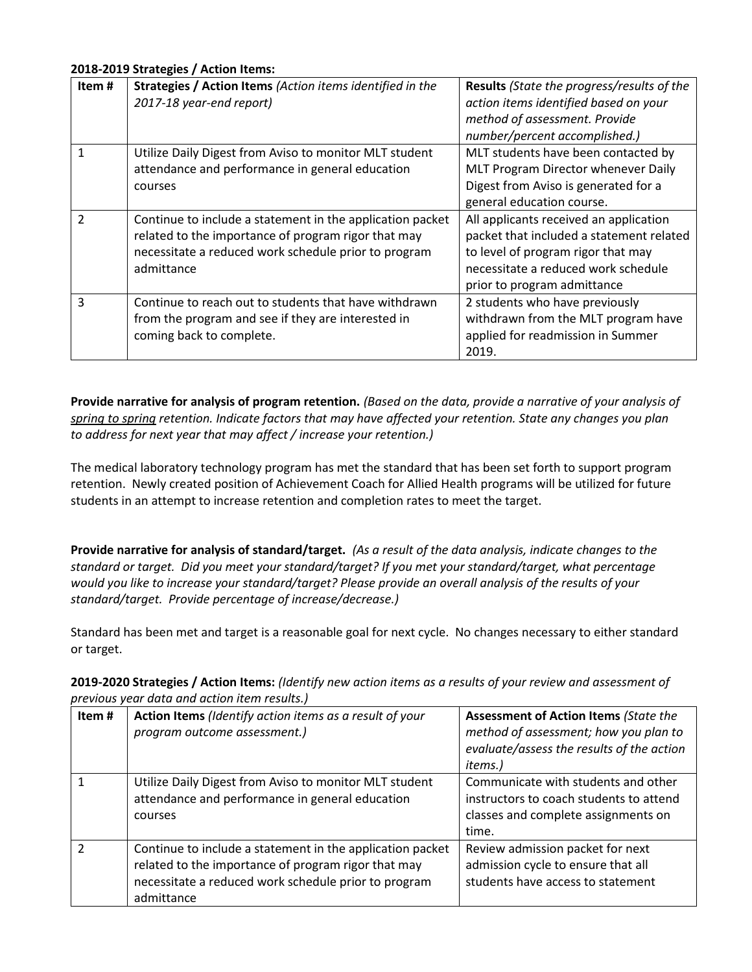### **2018-2019 Strategies / Action Items:**

| Item#         | Strategies / Action Items (Action items identified in the<br>2017-18 year-end report)                                                                                                  | Results (State the progress/results of the<br>action items identified based on your<br>method of assessment. Provide<br>number/percent accomplished.)                                          |
|---------------|----------------------------------------------------------------------------------------------------------------------------------------------------------------------------------------|------------------------------------------------------------------------------------------------------------------------------------------------------------------------------------------------|
|               | Utilize Daily Digest from Aviso to monitor MLT student<br>attendance and performance in general education<br>courses                                                                   | MLT students have been contacted by<br>MLT Program Director whenever Daily<br>Digest from Aviso is generated for a<br>general education course.                                                |
| $\mathcal{P}$ | Continue to include a statement in the application packet<br>related to the importance of program rigor that may<br>necessitate a reduced work schedule prior to program<br>admittance | All applicants received an application<br>packet that included a statement related<br>to level of program rigor that may<br>necessitate a reduced work schedule<br>prior to program admittance |
| 3             | Continue to reach out to students that have withdrawn<br>from the program and see if they are interested in<br>coming back to complete.                                                | 2 students who have previously<br>withdrawn from the MLT program have<br>applied for readmission in Summer<br>2019.                                                                            |

**Provide narrative for analysis of program retention.** *(Based on the data, provide a narrative of your analysis of spring to spring retention. Indicate factors that may have affected your retention. State any changes you plan to address for next year that may affect / increase your retention.)* 

The medical laboratory technology program has met the standard that has been set forth to support program retention. Newly created position of Achievement Coach for Allied Health programs will be utilized for future students in an attempt to increase retention and completion rates to meet the target.

**Provide narrative for analysis of standard/target.** *(As a result of the data analysis, indicate changes to the standard or target. Did you meet your standard/target? If you met your standard/target, what percentage would you like to increase your standard/target? Please provide an overall analysis of the results of your standard/target. Provide percentage of increase/decrease.)* 

Standard has been met and target is a reasonable goal for next cycle. No changes necessary to either standard or target.

| Item# | Action Items (Identify action items as a result of your<br>program outcome assessment.)                                                                                                | <b>Assessment of Action Items (State the</b><br>method of assessment; how you plan to<br>evaluate/assess the results of the action<br>items.) |
|-------|----------------------------------------------------------------------------------------------------------------------------------------------------------------------------------------|-----------------------------------------------------------------------------------------------------------------------------------------------|
|       | Utilize Daily Digest from Aviso to monitor MLT student<br>attendance and performance in general education<br>courses                                                                   | Communicate with students and other<br>instructors to coach students to attend<br>classes and complete assignments on<br>time.                |
| っ     | Continue to include a statement in the application packet<br>related to the importance of program rigor that may<br>necessitate a reduced work schedule prior to program<br>admittance | Review admission packet for next<br>admission cycle to ensure that all<br>students have access to statement                                   |

**2019-2020 Strategies / Action Items:** *(Identify new action items as a results of your review and assessment of previous year data and action item results.)*